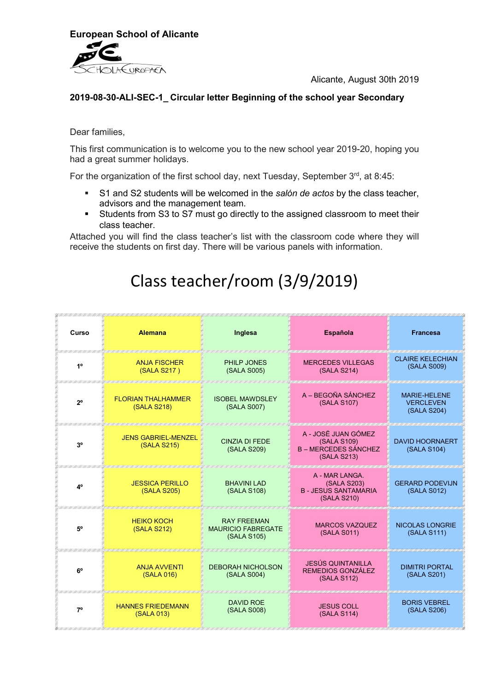

Alicante, August 30th 2019

#### 2019-08-30-ALI-SEC-1\_ Circular letter Beginning of the school year Secondary

Dear families,

This first communication is to welcome you to the new school year 2019-20, hoping you had a great summer holidays.

For the organization of the first school day, next Tuesday, September 3rd, at 8:45:

- S1 and S2 students will be welcomed in the salón de actos by the class teacher, advisors and the management team.
- Students from S3 to S7 must go directly to the assigned classroom to meet their class teacher.

Attached you will find the class teacher's list with the classroom code where they will receive the students on first day. There will be various panels with information.

# Class teacher/room (3/9/2019)

| Curso          | <b>Alemana</b>                            | Inglesa                                                        | <b>Española</b>                                                                  | <b>Francesa</b>                                        |
|----------------|-------------------------------------------|----------------------------------------------------------------|----------------------------------------------------------------------------------|--------------------------------------------------------|
| 1 <sup>0</sup> | <b>ANJA FISCHER</b><br>(SALA S217)        | PHILP JONES<br>(SALA S005)                                     | <b>MERCEDES VILLEGAS</b><br>(SALA S214)                                          | <b>CLAIRE KELECHIAN</b><br>(SALA S009)                 |
| $2^{\circ}$    | <b>FLORIAN THALHAMMER</b><br>(SALA S218)  | <b>ISOBEL MAWDSLEY</b><br>(SALA S007)                          | A - BEGOÑA SÁNCHEZ<br>(SALA S107)                                                | <b>MARIE-HELENE</b><br><b>VERCLEVEN</b><br>(SALA S204) |
| 3 <sup>o</sup> | <b>JENS GABRIEL-MENZEL</b><br>(SALA S215) | <b>CINZIA DI FEDE</b><br>(SALA S209)                           | A - JOSË JUAN GÓMEZ<br>(SALA S109)<br><b>B – MERCEDES SÁNCHEZ</b><br>(SALA S213) | <b>DAVID HOORNAERT</b><br>(SALA S104)                  |
| 4°             | <b>JESSICA PERILLO</b><br>(SALA S205)     | <b>BHAVINI LAD</b><br>(SALA S108)                              | A - MAR LANGA.<br>(SALA S203)<br><b>B-JESUS SANTAMARIA</b><br>(SALA S210)        | <b>GERARD PODEVIJN</b><br>(SALA S012)                  |
| 5°             | <b>HEIKO KOCH</b><br>(SALA S212)          | <b>RAY FREEMAN</b><br><b>MAURICIO FABREGATE</b><br>(SALA S105) | <b>MARCOS VAZQUEZ</b><br>(SALA S011)                                             | <b>NICOLAS LONGRIE</b><br>(SALA S111)                  |
| $6^{\circ}$    | <b>ANJA AVVENTI</b><br>(SALA 016)         | <b>DEBORAH NICHOLSON</b><br>(SALA S004)                        | <b>JESÚS QUINTANILLA</b><br>REMEDIOS GONZÁLEZ<br>(SALA S112)                     | <b>DIMITRI PORTAL</b><br>(SALA S201)                   |
| $7^\circ$      | <b>HANNES FRIEDEMANN</b><br>(SALA 013)    | <b>DAVID ROE</b><br>(SALA S008)                                | <b>JESUS COLL</b><br>(SALA S114)                                                 | <b>BORIS VEBREL</b><br>(SALA S206)                     |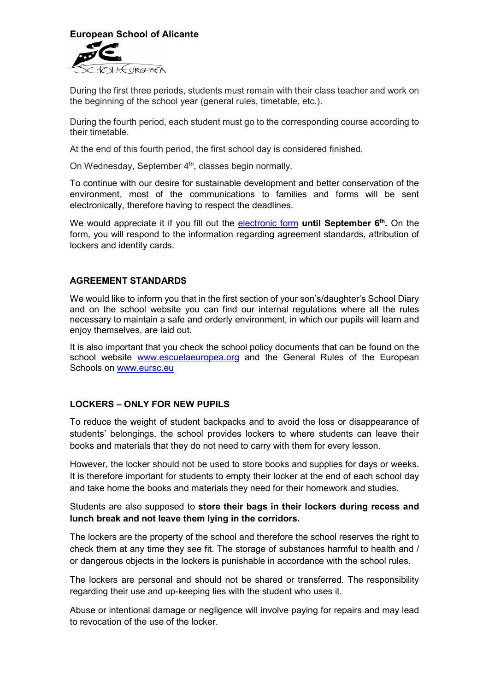

During the first three periods, students must remain with their class teacher and work on the beginning of the school year (general rules, timetable, etc.).

During the fourth period, each student must go to the corresponding course according to their timetable.

At the end of this fourth period, the first school day is considered finished.

On Wednesday, September 4<sup>th</sup>, classes begin normally.

To continue with our desire for sustainable development and better conservation of the environment, most of the communications to families and forms will be sent electronically, therefore having to respect the deadlines.

We would appreciate it if you fill out the **electronic form until September 6<sup>th</sup>.** On the form, you will respond to the information regarding agreement standards, attribution of lockers and identity cards.

#### AGREEMENT STANDARDS

We would like to inform you that in the first section of your son's/daughter's School Diary and on the school website you can find our internal regulations where all the rules necessary to maintain a safe and orderly environment, in which our pupils will learn and enjoy themselves, are laid out.

It is also important that you check the school policy documents that can be found on the school website www.escuelaeuropea.org and the General Rules of the European Schools on www.eursc.eu

#### LOCKERS – ONLY FOR NEW PUPILS

To reduce the weight of student backpacks and to avoid the loss or disappearance of students' belongings, the school provides lockers to where students can leave their books and materials that they do not need to carry with them for every lesson.

However, the locker should not be used to store books and supplies for days or weeks. It is therefore important for students to empty their locker at the end of each school day and take home the books and materials they need for their homework and studies.

Students are also supposed to store their bags in their lockers during recess and lunch break and not leave them lying in the corridors.

The lockers are the property of the school and therefore the school reserves the right to check them at any time they see fit. The storage of substances harmful to health and / or dangerous objects in the lockers is punishable in accordance with the school rules.

The lockers are personal and should not be shared or transferred. The responsibility regarding their use and up-keeping lies with the student who uses it.

Abuse or intentional damage or negligence will involve paying for repairs and may lead to revocation of the use of the locker.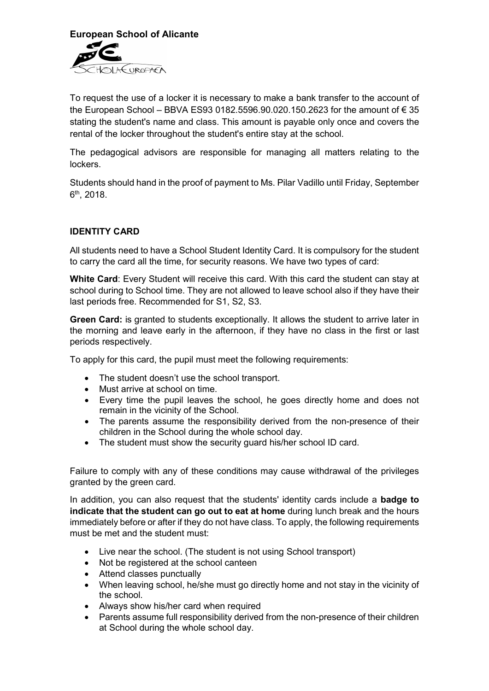

To request the use of a locker it is necessary to make a bank transfer to the account of the European School – BBVA ES93 0182.5596.90.020.150.2623 for the amount of  $\epsilon$  35 stating the student's name and class. This amount is payable only once and covers the rental of the locker throughout the student's entire stay at the school.

The pedagogical advisors are responsible for managing all matters relating to the lockers.

Students should hand in the proof of payment to Ms. Pilar Vadillo until Friday, September 6<sup>th</sup>, 2018.

## IDENTITY CARD

All students need to have a School Student Identity Card. It is compulsory for the student to carry the card all the time, for security reasons. We have two types of card:

White Card: Every Student will receive this card. With this card the student can stay at school during to School time. They are not allowed to leave school also if they have their last periods free. Recommended for S1, S2, S3.

Green Card: is granted to students exceptionally. It allows the student to arrive later in the morning and leave early in the afternoon, if they have no class in the first or last periods respectively.

To apply for this card, the pupil must meet the following requirements:

- The student doesn't use the school transport.
- Must arrive at school on time.
- Every time the pupil leaves the school, he goes directly home and does not remain in the vicinity of the School.
- The parents assume the responsibility derived from the non-presence of their children in the School during the whole school day.
- The student must show the security guard his/her school ID card.

Failure to comply with any of these conditions may cause withdrawal of the privileges granted by the green card.

In addition, you can also request that the students' identity cards include a **badge to** indicate that the student can go out to eat at home during lunch break and the hours immediately before or after if they do not have class. To apply, the following requirements must be met and the student must:

- Live near the school. (The student is not using School transport)
- Not be registered at the school canteen
- Attend classes punctually
- When leaving school, he/she must go directly home and not stay in the vicinity of the school.
- Always show his/her card when required
- Parents assume full responsibility derived from the non-presence of their children at School during the whole school day.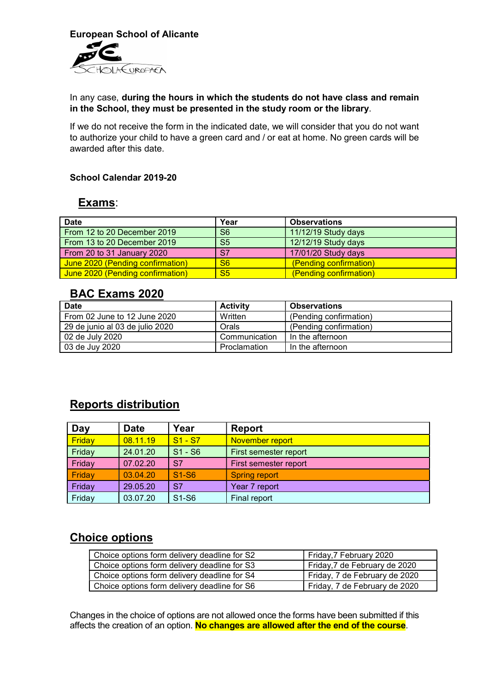

#### In any case, during the hours in which the students do not have class and remain in the School, they must be presented in the study room or the library.

If we do not receive the form in the indicated date, we will consider that you do not want to authorize your child to have a green card and / or eat at home. No green cards will be awarded after this date.

# School Calendar 2019-20

## Exams:

| <b>Date</b>                      | Year                   | <b>Observations</b>    |
|----------------------------------|------------------------|------------------------|
| From 12 to 20 December 2019      | S <sub>6</sub>         | 11/12/19 Study days    |
| From 13 to 20 December 2019      | S <sub>5</sub>         | 12/12/19 Study days    |
| From 20 to 31 January 2020       | S7                     | 17/01/20 Study days    |
| June 2020 (Pending confirmation) | S <sub>6</sub>         | (Pending confirmation) |
| June 2020 (Pending confirmation) | $\overline{\text{S5}}$ | (Pending confirmation) |

# BAC Exams 2020

| <b>Date</b>                     | <b>Activity</b> | <b>Observations</b>    |
|---------------------------------|-----------------|------------------------|
| From 02 June to 12 June 2020    | Written         | (Pending confirmation) |
| 29 de junio al 03 de julio 2020 | Orals           | (Pending confirmation) |
| 02 de July 2020                 | Communication   | In the afternoon       |
| 03 de Juy 2020                  | Proclamation    | In the afternoon       |

# Reports distribution

| Day    | <b>Date</b> | Year                           | <b>Report</b>         |
|--------|-------------|--------------------------------|-----------------------|
| Friday | 08.11.19    | $S1 - S7$                      | November report       |
| Friday | 24.01.20    | $S1 - S6$                      | First semester report |
| Friday | 07.02.20    | S7                             | First semester report |
| Friday | 03.04.20    | S <sub>1</sub> -S <sub>6</sub> | <b>Spring report</b>  |
| Friday | 29.05.20    | S7                             | Year 7 report         |
| Friday | 03.07.20    | S1-S6                          | Final report          |

# Choice options

| Choice options form delivery deadline for S2 | Friday, 7 February 2020       |
|----------------------------------------------|-------------------------------|
| Choice options form delivery deadline for S3 | Friday, 7 de February de 2020 |
| Choice options form delivery deadline for S4 | Friday, 7 de February de 2020 |
| Choice options form delivery deadline for S6 | Friday, 7 de February de 2020 |

Changes in the choice of options are not allowed once the forms have been submitted if this affects the creation of an option. No changes are allowed after the end of the course.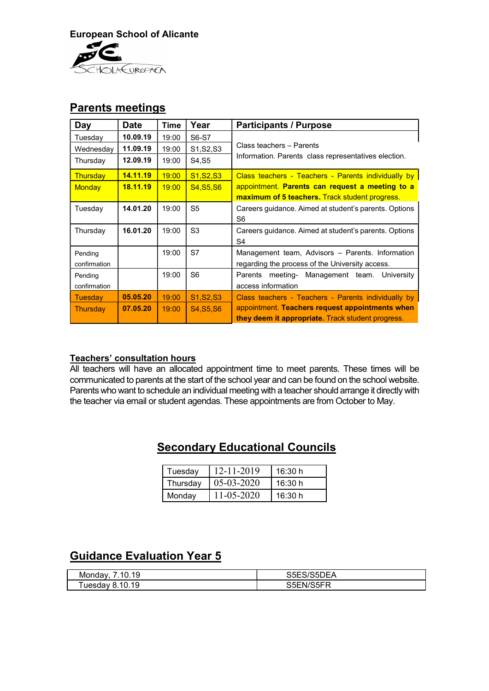

# Parents meetings

| Day             | <b>Date</b> | <b>Time</b> | Year                              | <b>Participants / Purpose</b>                         |
|-----------------|-------------|-------------|-----------------------------------|-------------------------------------------------------|
| Tuesday         | 10.09.19    | 19:00       | S6-S7                             |                                                       |
| Wednesday       | 11.09.19    | 19:00       | S1, S2, S3                        | Class teachers - Parents                              |
| Thursday        | 12.09.19    | 19:00       | S4, S5                            | Information. Parents class representatives election.  |
| <b>Thursday</b> | 14.11.19    | 19:00       | S <sub>1.</sub> S <sub>2.S3</sub> | Class teachers - Teachers - Parents individually by   |
| <b>Monday</b>   | 18.11.19    | 19:00       | <b>S4, S5, S6</b>                 | appointment. Parents can request a meeting to a       |
|                 |             |             |                                   | <b>maximum of 5 teachers.</b> Track student progress. |
| Tuesday         | 14.01.20    | 19:00       | S <sub>5</sub>                    | Careers guidance. Aimed at student's parents. Options |
|                 |             |             |                                   | S6                                                    |
| Thursday        | 16.01.20    | 19:00       | S <sub>3</sub>                    | Careers quidance. Aimed at student's parents. Options |
|                 |             |             |                                   | S <sub>4</sub>                                        |
| Pending         |             | 19:00       | S7                                | Management team, Advisors - Parents. Information      |
| confirmation    |             |             |                                   | regarding the process of the University access.       |
| Pending         |             | 19:00       | S <sub>6</sub>                    | meeting- Management team. University<br>Parents       |
| confirmation    |             |             |                                   | access information                                    |
| Tuesday         | 05.05.20    | 19:00       | S1, S2, S3                        | Class teachers - Teachers - Parents individually by   |
| Thursday        | 07.05.20    | 19:00       | S4, S5, S6                        | appointment. Teachers request appointments when       |
|                 |             |             |                                   | they deem it appropriate. Track student progress.     |

## Teachers' consultation hours

All teachers will have an allocated appointment time to meet parents. These times will be communicated to parents at the start of the school year and can be found on the school website. Parents who want to schedule an individual meeting with a teacher should arrange it directly with the teacher via email or student agendas. These appointments are from October to May.

# Secondary Educational Councils

| Tuesdav  | 12-11-2019 | 16:30 h |
|----------|------------|---------|
| Thursdav | 05-03-2020 | 16:30 h |
| Mondav   | 11-05-2020 | 16:30 h |

# **Guidance Evaluation Year 5**

| .10.19<br>Monday                | S5ES/S5DEA |
|---------------------------------|------------|
| 10.19<br><sup>∈</sup> uesdav 8. | S5EN/S5FR  |